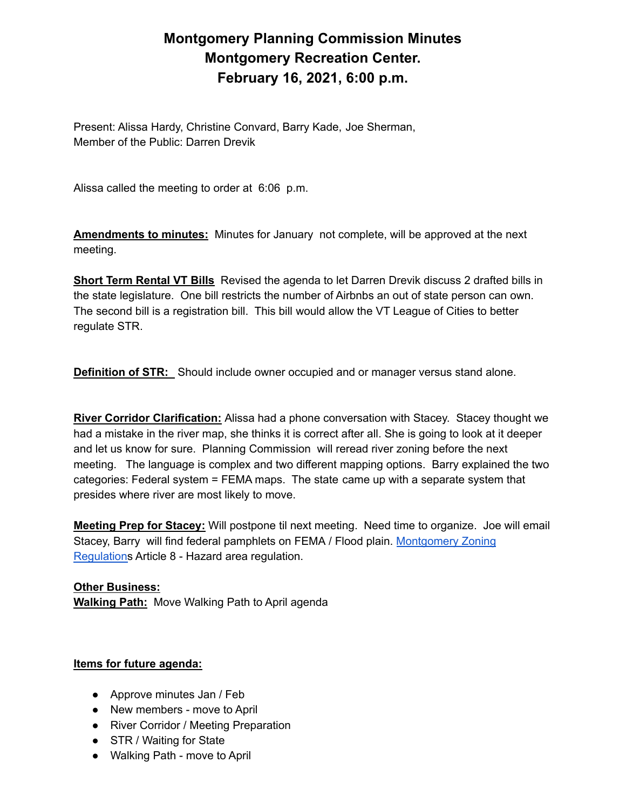## **Montgomery Planning Commission Minutes Montgomery Recreation Center. February 16, 2021, 6:00 p.m.**

Present: Alissa Hardy, Christine Convard, Barry Kade, Joe Sherman, Member of the Public: Darren Drevik

Alissa called the meeting to order at 6:06 p.m.

**Amendments to minutes:** Minutes for January not complete, will be approved at the next meeting.

**Short Term Rental VT Bills** Revised the agenda to let Darren Drevik discuss 2 drafted bills in the state legislature. One bill restricts the number of Airbnbs an out of state person can own. The second bill is a registration bill. This bill would allow the VT League of Cities to better regulate STR.

**Definition of STR:** Should include owner occupied and or manager versus stand alone.

**River Corridor Clarification:** Alissa had a phone conversation with Stacey. Stacey thought we had a mistake in the river map, she thinks it is correct after all. She is going to look at it deeper and let us know for sure. Planning Commission will reread river zoning before the next meeting. The language is complex and two different mapping options. Barry explained the two categories: Federal system = FEMA maps. The state came up with a separate system that presides where river are most likely to move.

**Meeting Prep for Stacey:** Will postpone til next meeting. Need time to organize. Joe will email Stacey, Barry will find federal pamphlets on FEMA / Flood plain. [Montgomery](https://drive.google.com/drive/folders/1M7aMcnMch-Viu3Q84-EqqU_ztIfrKftE) Zoning [Regulations](https://drive.google.com/drive/folders/1M7aMcnMch-Viu3Q84-EqqU_ztIfrKftE) Article 8 - Hazard area regulation.

**Other Business: Walking Path:** Move Walking Path to April agenda

## **Items for future agenda:**

- Approve minutes Jan / Feb
- New members move to April
- River Corridor / Meeting Preparation
- STR / Waiting for State
- Walking Path move to April